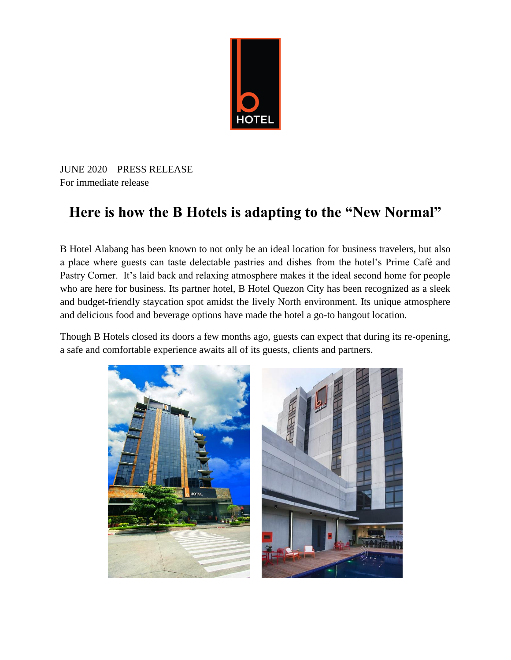

JUNE 2020 – PRESS RELEASE For immediate release

## **Here is how the B Hotels is adapting to the "New Normal"**

B Hotel Alabang has been known to not only be an ideal location for business travelers, but also a place where guests can taste delectable pastries and dishes from the hotel's Prime Café and Pastry Corner. It's laid back and relaxing atmosphere makes it the ideal second home for people who are here for business. Its partner hotel, B Hotel Quezon City has been recognized as a sleek and budget-friendly staycation spot amidst the lively North environment. Its unique atmosphere and delicious food and beverage options have made the hotel a go-to hangout location.

Though B Hotels closed its doors a few months ago, guests can expect that during its re-opening, a safe and comfortable experience awaits all of its guests, clients and partners.

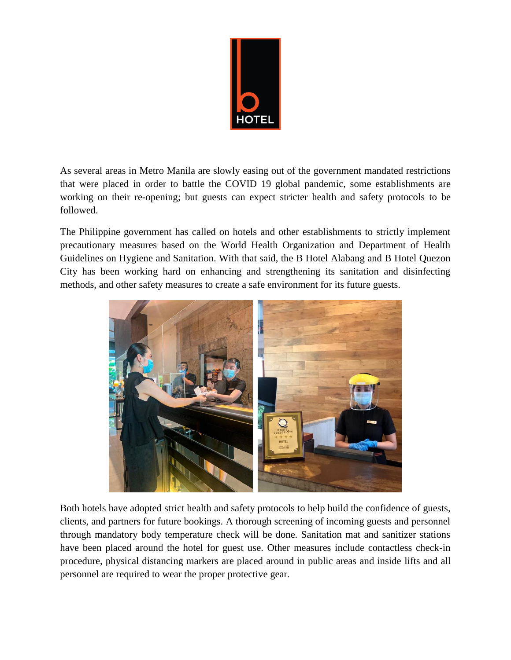

As several areas in Metro Manila are slowly easing out of the government mandated restrictions that were placed in order to battle the COVID 19 global pandemic, some establishments are working on their re-opening; but guests can expect stricter health and safety protocols to be followed.

The Philippine government has called on hotels and other establishments to strictly implement precautionary measures based on the World Health Organization and Department of Health Guidelines on Hygiene and Sanitation. With that said, the B Hotel Alabang and B Hotel Quezon City has been working hard on enhancing and strengthening its sanitation and disinfecting methods, and other safety measures to create a safe environment for its future guests.



Both hotels have adopted strict health and safety protocols to help build the confidence of guests, clients, and partners for future bookings. A thorough screening of incoming guests and personnel through mandatory body temperature check will be done. Sanitation mat and sanitizer stations have been placed around the hotel for guest use. Other measures include contactless check-in procedure, physical distancing markers are placed around in public areas and inside lifts and all personnel are required to wear the proper protective gear.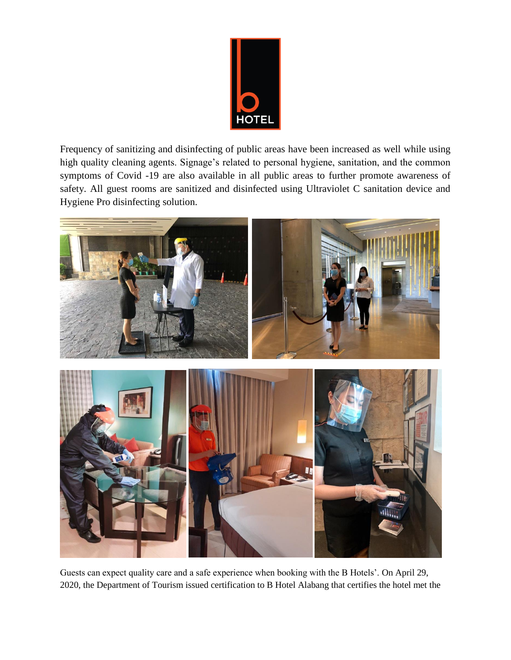

Frequency of sanitizing and disinfecting of public areas have been increased as well while using high quality cleaning agents. Signage's related to personal hygiene, sanitation, and the common symptoms of Covid -19 are also available in all public areas to further promote awareness of safety. All guest rooms are sanitized and disinfected using Ultraviolet C sanitation device and Hygiene Pro disinfecting solution.



Guests can expect quality care and a safe experience when booking with the B Hotels'. On April 29, 2020, the Department of Tourism issued certification to B Hotel Alabang that certifies the hotel met the